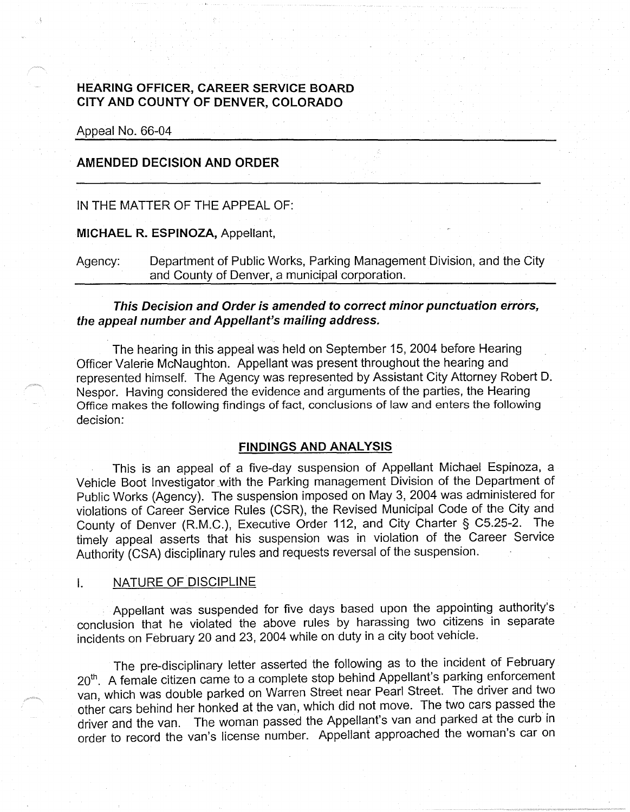# **HEARING OFFICER, CAREER SERVICE BOARD CITY AND COUNTY OF DENVER, COLORADO**

Appeal No. 66-04

### **AMENDED DECISION AND ORDER**

### IN THE MATTER OF THE APPEAL OF:

#### **MICHAEL R. ESPINOZA,** Appellant,

Agency: Department of Public Works, Parking Management Division, and the City and County of Denver, a municipal corporation.

### **This Decision and Order is amended to correct minor punctuation errors, the appeal number and Appellant's mailing address.**

The hearing in this appeal was held on September 15, 2004 before Hearing Officer Valerie McNaughton. Appellant was present throughout the hearing and represented himself. The Agency was represented by Assistant City Attorney Robert D. Nespor. Having considered the evidence and arguments of the parties, the Hearing Office makes the following findings of fact, conclusions of law and enters the following decision:

#### **FINDINGS AND ANALYSIS**

This is an appeal of a five-day suspension of Appellant Michael Espinoza, a Vehicle Boot Investigator with the Parking management Division of the Department of Public Works (Agency). The suspension imposed on May 3, 2004 was administered for violations of Career Service Rules (CSR), the Revised Municipal Code of the City and County of Denver (R.M.C.), Executive Order 112, and City Charter § C5.25-2. The timely appeal asserts that his suspension was in violation of the Career Service Authority (CSA) disciplinary rules and requests reversal of the suspension.

#### I. NATURE OF DISCIPLINE

Appellant was suspended for five days based upon the appointing authority's conclusion that he violated the above rules by harassing two citizens in separate incidents on February 20 and 23, 2004 while on duty in a city boot vehicle.

The pre-disciplinary letter asserted the following as to the incident of February 20<sup>th</sup>. A female citizen came to a complete stop behind Appellant's parking enforcement van, which was double parked on Warren Street near Pearl Street. The driver and two other cars behind her honked at the van, which did not move. The two cars passed the driver and the van. The woman passed the Appellant's van and parked at the curb in order to record the van's license number. Appellant approached the woman's car on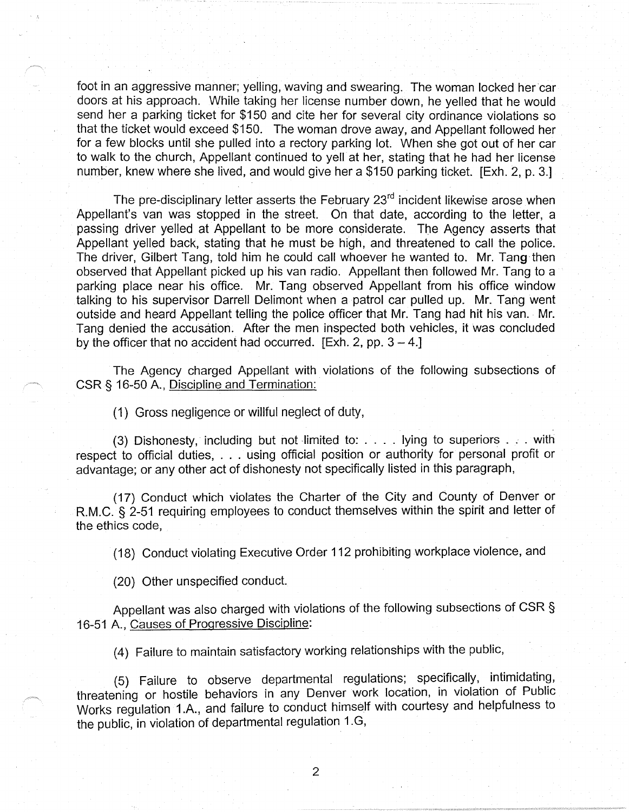foot in an aggressive manner; yelling, waving and swearing. The woman locked her car doors at his approach. While taking her license number down, he yelled that he would send her a parking ticket for \$150 and cite her for several city ordinance violations so that the ticket would exceed \$150. The woman drove away, and Appellant followed her for a few blocks until she pulled into a rectory parking lot. When she got out of her car to walk to the church, Appellant continued to yell at her, stating that he had her license number, knew where she lived, and would give her a \$150 parking ticket. [Exh. 2, p. 3.]

The pre-disciplinary letter asserts the February 23<sup>rd</sup> incident likewise arose when Appellant's van was stopped in the street. On that date, according to the letter, a passing driver yelled at Appellant to be more considerate. The Agency asserts that Appellant yelled back, stating that he must be high, and threatened to call the police. The driver, Gilbert Tang, told him he could call whoever he wanted to. Mr. Tang then observed that Appellant picked up his van radio. Appellant then followed Mr. Tang to a parking place near his office. Mr. Tang observed Appellant from his office window talking to his supervisor Darrell Delimont when a patrol car pulled up. Mr. Tang went outside and heard Appellant telling the police officer that Mr. Tang had hit his van. Mr. Tang denied the accusation. After the men inspected both vehicles, it was concluded by the officer that no accident had occurred. [Exh. 2, pp.  $3 - 4$ .]

The Agency charged Appellant with violations of the following subsections of CSR§ 16-50 A., Discipline and Termination:

(1) Gross negligence or willful neglect of duty,

(3) Dishonesty, including but not limited to: .... lying to superiors ... with respect to official duties, . . . using official position or authority for personal profit or advantage; or any other act of dishonesty not specifically listed in this paragraph,

(17) Conduct which violates the Charter of the City and County of Denver or R.M.C. § 2-51 requiring employees to conduct themselves within the spirit and letter of the ethics code,

(18) Conduct violating Executive Order 112 prohibiting workplace violence, and

(20) Other unspecified conduct.

Appellant was also charged with violations of the following subsections of CSR § 16-51 A., Causes of Progressive Discipline:

(4) Failure to maintain satisfactory working relationships with the public,

(5) Failure to observe departmental regulations; specifically, intimidating, threatening or hostile behaviors in any Denver work location, In violation of Public Works regulation 1.A., and failure to conduct himself with courtesy and helpfulness to the public, in violation of departmental regulation 1.G,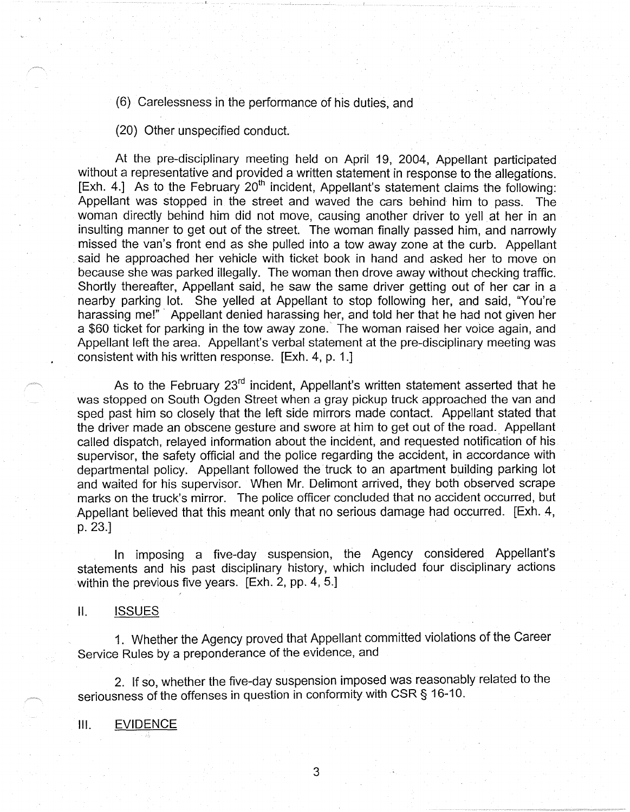(6) Carelessness in the performance of his duties, and

(20) Other unspecified conduct.

At the pre-disciplinary meeting held on April 19, 2004, Appellant participated without a representative and provided a written statement in response to the allegations. [Exh. 4.] As to the February  $20<sup>th</sup>$  incident, Appellant's statement claims the following: Appellant was stopped in the street and waved the cars behind him to pass. The woman directly behind him did not move, causing another driver to yell at her in an insulting manner to get out of the street. The woman finally passed him, and narrowly missed the van's front end as she pulled into a tow away zone at the curb. Appellant . said he approached her vehicle with ticket book in hand and asked her to move on because she was parked illegally. The woman then drove away without checking traffic. Shortly thereafter, Appellant said, he saw the same driver getting out of her car in a nearby parking lot. She yelled at Appellant to stop following her, and said, "You're harassing me!" Appellant denied harassing her, and told her that he had not given her a \$60 ticket for parking in the tow away zone. The woman raised her voice again, and Appellant left the area. Appellant's verbal statement at the pre-disciplinary meeting was consistent with his written response. [Exh. 4, p. 1.]

As to the February 23<sup>rd</sup> incident, Appellant's written statement asserted that he was stopped on South Ogden Street when a gray pickup truck approached the van and sped past him so closely that the left side mirrors made contact. Appellant stated that the driver made an obscene gesture and swore at him to get out of the road. Appellant called dispatch, relayed information about the incident, and requested notification of his. supervisor, the safety official and the police regarding the accident, in accordance with departmental policy. Appellant followed the truck to an apartment building parking lot and waited for his supervisor. When Mr. Delimont arrived, they both observed scrape marks on the truck's mirror. The police officer concluded that no accident occurred, but Appellant believed that this meant only that no serious damage had occurred. [Exh. 4, p. 23.]

In imposing a five-day suspension, the Agency considered Appellant's statements and his past disciplinary history, which included four disciplinary actions within the previous five years. [Exh. 2, pp. 4, 5.]

II. ISSUES

1. Whether the Agency proved that Appellant committed violations of the Career Service Rules by a preponderance of the evidence, and

2. If so, whether the five-day suspension imposed was reasonably related to the seriousness of the offenses in question in conformity with CSR§ 16-10.

111. EVIDENCE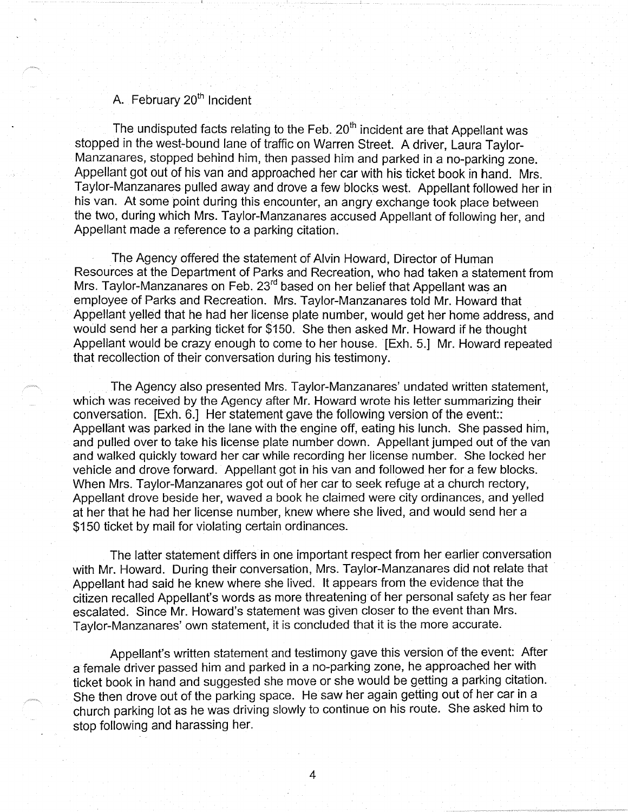# A. February 20<sup>th</sup> Incident

The undisputed facts relating to the Feb.  $20<sup>th</sup>$  incident are that Appellant was stopped in the west-bound lane of traffic on Warren Street. A driver, Laura Taylor-Manzanares, stopped behind him, then passed him and parked in a no-parking zone. Appellant got out of his van and approached her car with his ticket book in hand. Mrs. Taylor-Manzanares pulled away and drove a few blocks west. Appellant followed her in his van. At some point during this encounter, an angry exchange took place between the two, during which Mrs. Taylor-Manzanares accused Appellant of following her, and Appellant made a reference to a parking citation.

The Agency offered the statement of Alvin Howard, Director of Human Resources at the Department of Parks and Recreation, who had taken a statement from Mrs. Taylor-Manzanares on Feb. 23<sup>rd</sup> based on her belief that Appellant was an employee of Parks and Recreation. Mrs. Taylor-Manzanares told Mr. Howard that Appellant yelled that he had her license plate number, would get her home address, and would send her a parking ticket for \$150. She then asked Mr. Howard if he thought Appellant would be crazy enough to come to her house. [Exh. 5.] Mr. Howard repeated that recollection of their conversation during his testimony.

The Agency also presented Mrs. Taylor-Manzanares' undated written statement, which was received by the Agency after Mr. Howard wrote his letter summarizing their conversation. [Exh. 6.] Her statement gave the following version of the event:: Appellant was parked in the lane with the engine off, eating his lunch. She passed him, and pulled over to take his license plate number down. Appellant jumped out of the van and walked quickly toward her car while recording her license number. She locked her vehicle and drove forward. Appellant got in his van and followed her for a few blocks. When Mrs. Taylor-Manzanares got out of her car to seek refuge at a church rectory, Appellant drove beside her, waved a book he claimed were city ordinances, and yelled at her that he had her license number, knew where she lived, and would send her a \$150 ticket by mail for violating certain ordinances.

The latter statement differs in one important respect from her earlier conversation with Mr. Howard. During their conversation, Mrs. Taylor-Manzanares did not relate that Appellant had said he knew where she lived. It appears from the evidence that the citizen recalled Appellant's words as more threatening of her personal safety as her fear escalated. Since Mr. Howard's statement was given closer to the event than Mrs. Taylor-Manzanares' own statement, it is concluded that it is the more accurate.

Appellant's written statement and testimony gave this version of the event: After a female driver passed him and parked in a no-parking zone, he approached her with ticket book in hand and suggested she move or she would be getting a parking citation. She then drove out of the parking space. He saw her again getting out of her car in a church parking lot as he was driving slowly to continue on his route. She asked him to stop following and harassing her.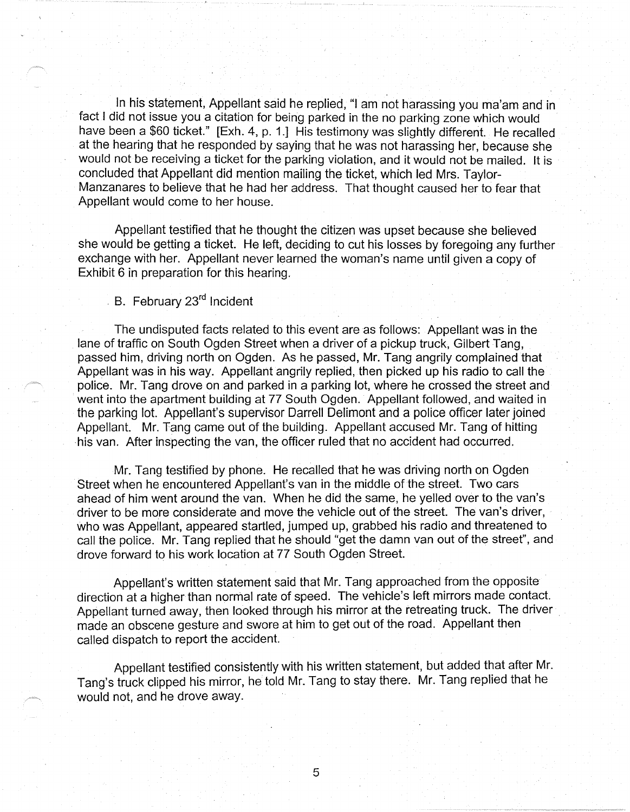In his statement, Appellant said he replied, "I am not harassing you ma'am and in fact I did not issue you a citation for being parked in the no parking zone which would have been a \$60 ticket." [Exh. 4, p. 1.] His testimony was slightly different. He recalled at the hearing that he responded by saying that he was not harassing her, because she would not be receiving a ticket for the parking violation, and it would not be mailed. It is concluded that Appellant did mention mailing the ticket, which led Mrs. Taylor-Manzanares to believe that he had her address. That thought caused her to fear that Appellant would come to her house.

Appellant testified that he thought the citizen was upset because she believed she would be getting a ticket. He left, deciding to cut his losses by foregoing any further exchange with her. Appellant never learned the woman's name until given a copy of Exhibit 6 in preparation for this hearing.

. B. February 23<sup>rd</sup> Incident

The undisputed facts related to this event are as follows: Appellant was in the lane of traffic on South Ogden Street when a driver of a pickup truck, Gilbert Tang, passed him, driving north on Ogden. As he passed, Mr. Tang angrily complained that Appellant was in his way. Appellant angrily replied, then picked up his radio to call the police. Mr. Tang drove on and parked in a parking lot, where he crossed the street and went into the apartment building at 77 South Ogden. Appellant followed, and waited in the parking lot. Appellant's supervisor Darrell Delimont and a police officer later joined Appellant. Mr. Tang came out of the building. Appellant accused Mr. Tang of hitting his van. After inspecting the van, the officer ruled that no accident had occurred.

Mr. Tang testified by phone. He recalled that he was driving north on Ogden Street when he encountered Appellant's van in the middle of the street. Two cars ahead of him went around the van. When he did the same, he yelled over to the van's driver to be more considerate and move the vehicle out of the street. The van's driver, who was Appellant, appeared startled, jumped up, grabbed his radio and threatened to call the police. Mr. Tang replied that he should "get the damn van out of the street", and drove forward to his work location at 77 South Ogden Street.

Appellant's written statement said that Mr. Tang approached from the opposite direction at a higher than normal rate of speed. The vehicle's left mirrors made contact. Appellant turned away, then looked through his mirror at the retreating truck. The driver . made an obscene gesture and swore at him to get out of the road. Appellant then called dispatch to report the accident.

Appellant testified consistently with his written statement, but added that after Mr. Tang's truck clipped his mirror, he told Mr. Tang to stay there. Mr. Tang replied that he would not, and he drove away.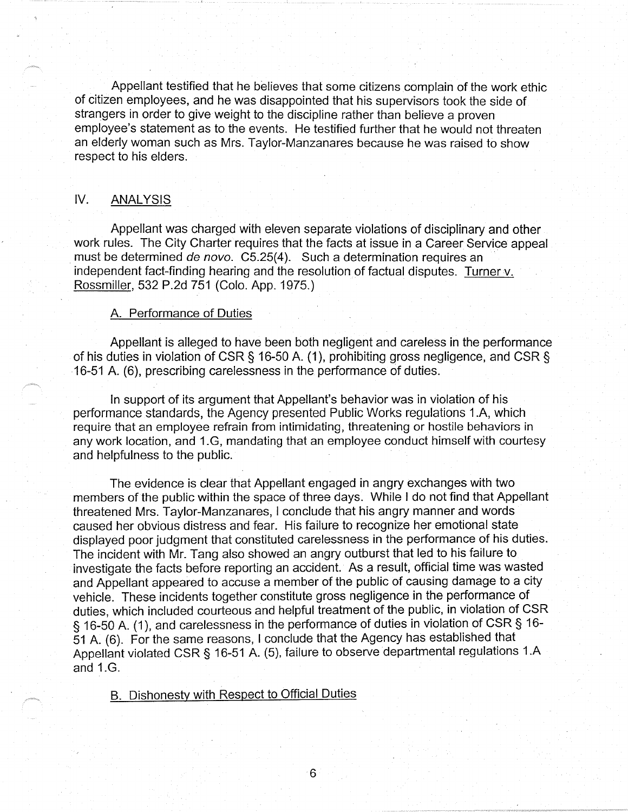Appellant testified that he believes that some citizens complain of the work ethic of citizen employees, and he was disappointed that his supervisors took the side of strangers in order to give weight to the discipline rather than believe a proven employee's statement as to the events. He testified further that he would not threaten an elderly woman such as Mrs. Taylor-Manzanares because he was raised to show respect to his elders.

# **IV. ANALYSIS**

Appellant was charged with eleven separate violations of disciplinary and other work rules. The City Charter requires that the facts at issue in a Career Service appeal must be determined de novo. C5.25(4). Such a determination requires an independent fact-finding hearing and the resolution of factual disputes. Turner v. Rossmiller, 532 P.2d 751 (Colo. App. 1975.)

#### A. Performance of Duties

Appellant is alleged to have been both negligent and careless in the performance of his duties in violation of CSR§ 16-50 A. (1 ), prohibiting gross negligence, and CSR§ 16-51 A (6), prescribing carelessness in the performance of duties.

In support of its argument that Appellant's behavior was in violation of his performance standards, the Agency presented Public Works regulations 1 .A, which require that an employee refrain from intimidating, threatening or hostile behaviors in any work location, and 1.G, mandating that an employee conduct himself with courtesy and helpfulness to the public.

The evidence is clear that Appellant engaged in angry exchanges with two members of the public within the space of three days. While I do not find that Appellant threatened Mrs. Taylor-Manzanares, I conclude that his angry manner and words caused her obvious distress and fear. His failure to recognize her emotional state displayed poor judgment that constituted carelessness in the performance of his duties. The incident with Mr. Tang also showed an angry outburst that led to his failure to investigate the facts before reporting an accident. As a result, official time was wasted and Appellant appeared to accuse a member of the public of causing damage to a city vehicle. These incidents together constitute gross negligence in the performance of duties, which included courteous and helpful treatment of the public, in violation of CSR § 16-50 A. (1), and carelessness in the performance of duties in violation of CSR § 16-51 A. (6). For the same reasons, I conclude that the Agency has established that Appellant violated CSR§ 16-51 A. (5), failure to observe departmental regulations 1.A and 1.G.

B. Dishonesty with Respect to Official Duties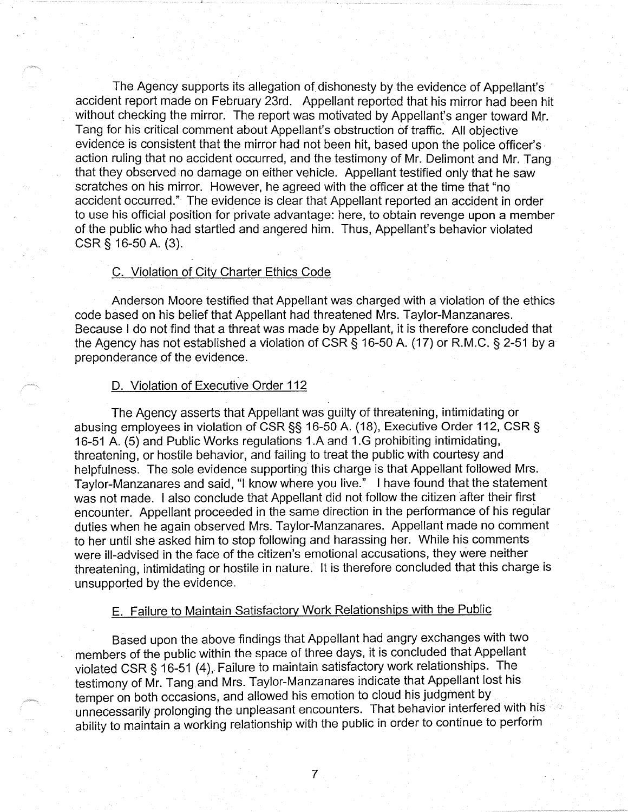The Agency supports its allegation of dishonesty by the evidence of Appellant's accident report made on February 23rd. Appellant reported that his mirror had been hit without checking the mirror. The report was motivated by Appellant's anger toward Mr. Tang for his critical comment about Appellant's obstruction of traffic. All objective evidence is consistent that the mirror had not been hit, based upon the police officer's. action ruling that no accident occurred, and the testimony of Mr. Delimont and Mr. Tang that they observed no damage on either vehicle. Appellant testified only that he saw scratches on his mirror. However, he agreed with the officer at the time that "no accident occurred." The evidence is clear that Appellant reported an accident in order to use his official position for private advantage: here, to obtain revenge upon a member of the public who had startled and angered him. Thus, Appellant's behavior violated CSR § 16-50 A. (3).

#### C. Violation of City Charter Ethics Code

Anderson Moore testified that Appellant was charged with a violation of the ethics code based on his belief that Appellant had threatened Mrs. Taylor-Manzanares. Because I do not find that a threat was made by Appellant, it is therefore concluded that the Agency has not established a violation of CSR § 16-50 A. (17) or R.M.C. § 2-51 by a preponderance of the evidence.

### D. Violation of Executive Order 112

The Agency asserts that Appellant was guilty of threatening, intimidating or abusing employees in violation of CSR§§ 16-50 A. (18), Executive Order 112, CSR§ 16-51 A. (5) and Public Works regulations 1.A and 1.G prohibiting intimidating, threatening, or hostile behavior, and failing to treat the public with courtesy and helpfulness. The sole evidence supporting this charge is that Appellant followed Mrs. Taylor-Manzanares and said, "I know where you live." I have found that the statement was not made. I also conclude that Appellant did not follow the citizen after their first encounter. Appellant proceeded in the same direction in the performance of his regular duties when he again observed Mrs. Taylor-Manzanares. Appellant made no comment to her until she asked him to stop following and harassing her. While his comments were ill-advised in the face of the citizen's emotional accusations, they were neither threatening, intimidating or hostile in nature. It is therefore concluded that this charge is unsupported by the evidence.

# E. Failure to Maintain Satisfactory Work Relationships with the Public

Based upon the above findings that Appellant had angry exchanges with two members of the public within the space of three days, it is concluded that Appellant violated CSR§ 16-51 (4), Failure to maintain satisfactory work relationships. The testimony of Mr. Tang and Mrs. Taylor-Manzanares indicate that Appellant lost his temper on both occasions, and allowed his emotion to cloud his judgment by . unnecessarily prolonging the unpleasant encounters. That behavior interfered with his ability to maintain a working relationship with the public in order to continue to perform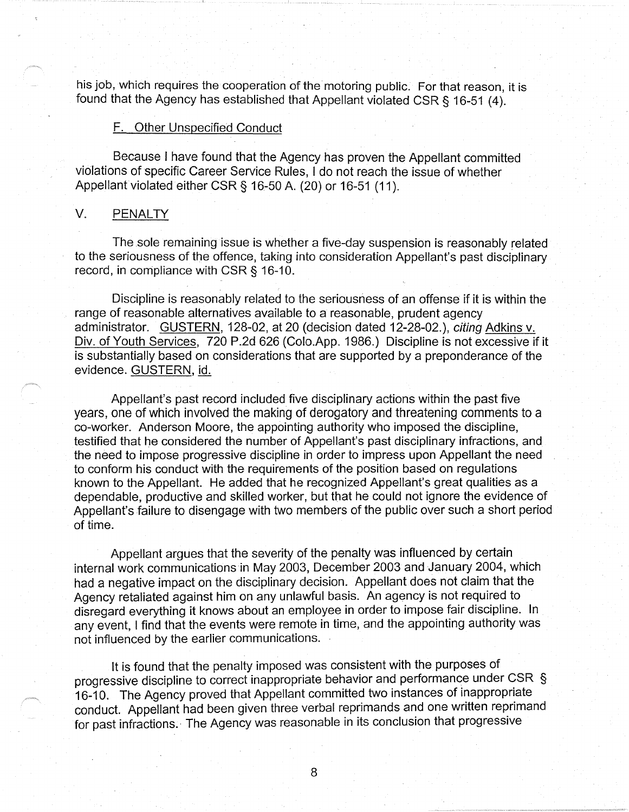his job, which requires the cooperation of the motoring public. For that reason, it is found that the Agency has established that Appellant violated CSR § 16-51 (4).

#### F. Other Unspecified Conduct

Because I have found that the Agency has proven the Appellant committed violations of specific Career Service Rules, I do not reach the issue of whether Appellant violated either CSR§ 16-50 A. (20) or 16-51 (11 ).

### V. PENALTY

The sole remaining issue is whether a five-day suspension is reasonably related to the seriousness of the offence, taking into consideration Appellant's past disciplinary record, in compliance with CSR§ 16-10.

Discipline is reasonably related to the seriousness of an offense if it is within the range of reasonable alternatives available to a reasonable, prudent agency administrator. GUSTERN, 128-02, at 20 (decision dated 12-28-02.), citing Adkins v. Div. of Youth Services, 720 P.2d 626 (Colo.App. 1986.) Discipline is not excessive if it is substantially based on considerations that are supported by a preponderance of the evidence. GUSTERN, id.

Appellant's past record included five disciplinary actions within the past five years, one of which involved the making of derogatory and threatening comments to a co-worker. Anderson Moore, the appointing authority who imposed the discipline, testified that he considered the number of Appellant's past disciplinary infractions, and the need to impose progressive discipline in order to impress upon Appellant the need to conform his conduct with the requirements of the position based on regulations known to the Appellant. He added that he recognized Appellant's great qualities as a dependable, productive and skilled worker, but that he could not ignore the evidence of Appellant's failure to disengage with two members of the public over such a short period of time.

Appellant argues that the severity of the penalty was influenced by certain internal work communications in May 2003, December 2003 and January 2004, which had a negative impact on the disciplinary decision. Appellant does not claim that the Agency retaliated against him on any unlawful basis. An agency is not required to disregard everything it knows about an employee in order to impose fair discipline. In any event, I find that the events were remote in time, and the appointing authority was not influenced by the earlier communications.

It is found that the penalty imposed was consistent with the purposes of progressive discipline to correct inappropriate behavior and performance under CSR § 16-10. The Agency proved that Appellant committed two instances of inappropriate conduct. Appellant had been given three verbal reprimands and one written reprimand for past infractions. The Agency was reasonable in its conclusion that progressive